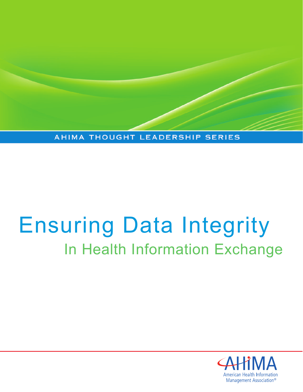AHIMA THOUGHT LEADERSHIP SERIES

# Ensuring Data Integrity In Health Information Exchange

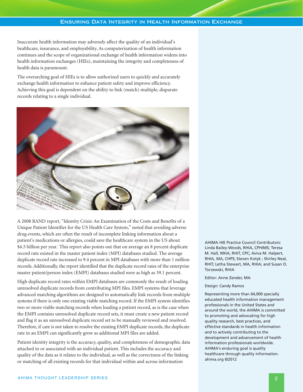Inaccurate health information may adversely affect the quality of an individual's healthcare, insurance, and employability. As computerization of health information continues and the scope of organizational exchange of health information widens into health information exchanges (HIEs), maintaining the integrity and completeness of health data is paramount.

The overarching goal of HIEs is to allow authorized users to quickly and accurately exchange health information to enhance patient safety and improve efficiency. Achieving this goal is dependent on the ability to link (match) multiple, disparate records relating to a single individual.



A 2008 RAND report, "Identity Crisis: An Examination of the Costs and Benefits of a Unique Patient Identifier for the US Health Care System," noted that avoiding adverse drug events, which are often the result of incomplete linking information about a patient's medications or allergies, could save the healthcare system in the US about \$4.5 billion per year. 1 This report also points out that on average an 8 percent duplicate record rate existed in the master patient index (MPI) databases studied. The average duplicate record rate increased to 9.4 percent in MPI databases with more than 1 million records.Additionally, the report identified that the duplicate record rates of the enterprise master patient/person index (EMPI) databases studied were as high as 39.1 percent.

High duplicate record rates within EMPI databases are commonly the result of loading unresolved duplicate records from contributing MPI files. EMPI systems that leverage advanced matching algorithms are designed to automatically link records from multiple systems if there is only one existing viable matching record. If the EMPI system identifies two or more viable matching records when loading a patient record, as is the case when the EMPI contains unresolved duplicate record sets, it must create a new patient record and flag it as an unresolved duplicate record set to be manually reviewed and resolved. Therefore, if care is not taken to resolve the existing EMPI duplicate records, the duplicate rate in an EMPI can significantly grow as additional MPI files are added.

Patient identity integrity is the accuracy, quality, and completeness of demographic data attached to or associated with an individual patient. This includes the accuracy and quality of the data as it relates to the individual, as well as the correctness of the linking or matching of all existing records for that individual within and across information

AHIMA HIE Practice Council Contributors: Linda Bailey-Woods, RHIA, CPHIMS; Teresa M. Hall, MHA, RHIT, CPC; Aviva M. Halpert, RHIA, MA, CHPS; Steven Kotyk ; Shirley Neal, RHIT; Letha Stewart, MA, RHIA; and Susan O. Torzewski, RHIA

#### Editor: Anne Zender, MA

#### Design: Candy Ramos

Representing more than 64,000 specially educated health information management professionals in the United States and around the world, the AHIMA is committed to promoting and advocating for high quality research, best practices, and effective standards in health information and to actively contributing to the development and advancement of health information professionals worldwide. AHIMA's enduring goal is quality healthcare through quality information. ahima.org ©2012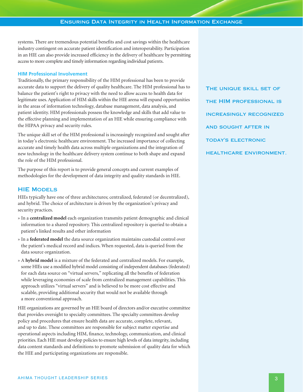systems. There are tremendous potential benefits and cost savings within the healthcare industry contingent on accurate patient identification and interoperability. Participation in an HIE can also provide increased efficiency in the delivery of healthcare by permitting access to more complete and timely information regarding individual patients.

#### **HIM Professional Involvement**

Traditionally, the primary responsibility of the HIM professional has been to provide accurate data to support the delivery of quality healthcare. The HIM professional has to balance the patient's right to privacy with the need to allow access to health data for legitimate uses.Application of HIM skills within the HIE arena will expand opportunities in the areas of information technology, database management, data analysis, and patient identity. HIM professionals possess the knowledge and skills that add value to the effective planning and implementation of an HIE while ensuring compliance with the HIPAA privacy and security rules.

The unique skill set of the HIM professional is increasingly recognized and sought after in today's electronic healthcare environment. The increased importance of collecting accurate and timely health data across multiple organizations and the integration of new technology in the healthcare delivery system continue to both shape and expand the role of the HIM professional.

The purpose of this report is to provide general concepts and current examples of methodologies for the development of data integrity and quality standards in HIE.

#### **HIE Models**

HIEs typically have one of three architectures; centralized, federated (or decentralized), and hybrid. The choice of architecture is driven by the organization's privacy and security practices.

- » In a **centralized model** each organization transmits patient demographic and clinical information to a shared repository. This centralized repository is queried to obtain a patient's linked results and other information
- » In a **federated model** the data source organization maintains custodial control over the patient's medical record and indices. When requested, data is queried from the data source organization.
- » A **hybrid model** is a mixture of the federated and centralized models. For example, some HIEs use a modified hybrid model consisting of independent databases (federated) for each data source on "virtual servers," replicating all the benefits of federation while leveraging economies of scale from centralized management capabilities. This approach utilizes "virtual servers" and is believed to be more cost effective and scalable, providing additional security that would not be available through a more conventional approach.

HIE organizations are governed by an HIE board of directors and/or executive committee that provides oversight to specialty committees. The specialty committees develop policy and procedures that ensure health data are accurate, complete, relevant, and up to date. These committees are responsible for subject matter expertise and operational aspects including HIM, finance, technology, communication, and clinical priorities. Each HIE must develop policies to ensure high levels of data integrity, including data content standards and definitions to promote submission of quality data for which the HIE and participating organizations are responsible.

**The unique skill set of the HIM professional is increasingly recognized and sought after in today's electronic healthcare environment.**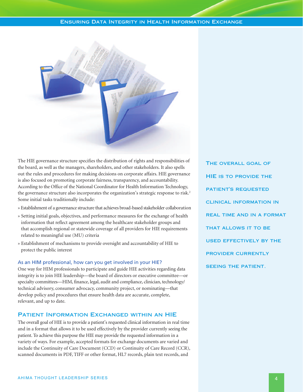

The HIE governance structure specifies the distribution of rights and responsibilities of the board, as well as the managers, shareholders, and other stakeholders. It also spells out the rules and procedures for making decisions on corporate affairs. HIE governance is also focused on promoting corporate fairness, transparency, and accountability. According to the Office of the National Coordinator for Health Information Technology, the governance structure also incorporates the organization's strategic response to risk. 2 Some initial tasks traditionally include:

- » Establishment of a governance structure that achieves broad-based stakeholder collaboration
- » Setting initial goals, objectives, and performance measures for the exchange of health information that reflect agreement among the healthcare stakeholder groups and that accomplish regional or statewide coverage of all providers for HIE requirements related to meaningful use (MU) criteria
- » Establishment of mechanisms to provide oversight and accountability of HIE to protect the public interest

#### As an HIM professional, how can you get involved in your HIE?

One way for HIM professionals to participate and guide HIE activities regarding data integrity is to join HIE leadership—the board of directors or executive committee—or specialty committees—HIM, finance, legal, audit and compliance, clinician, technology/ technical advisory, consumer advocacy, community project, or nominating—that develop policy and procedures that ensure health data are accurate, complete, relevant, and up to date.

#### **Patient Information Exchanged within an HIE**

The overall goal of HIE is to provide a patient's requested clinical information in real time and in a format that allows it to be used effectively by the provider currently seeing the patient. To achieve this purpose the HIE may provide the requested information in a variety of ways. For example, accepted formats for exchange documents are varied and include the Continuity of Care Document (CCD) or Continuity of Care Record (CCR), scanned documents in PDF, TIFF or other format, HL7 records, plain text records, and

**The overall goal of HIE is to provide the patient's requested clinical information in real time and in a format that allows it to be used effectively by the provider currently seeing the patient.**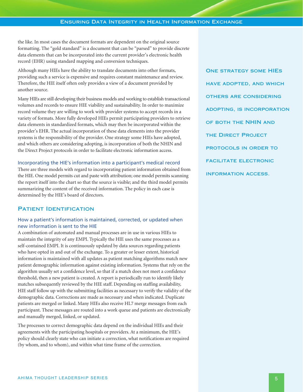the like. In most cases the document formats are dependent on the original source formatting. The "gold standard" is a document that can be "parsed" to provide discrete data elements that can be incorporated into the current provider's electronic health record (EHR) using standard mapping and conversion techniques.

Although many HIEs have the ability to translate documents into other formats, providing such a service is expensive and requires constant maintenance and review. Therefore, the HIE itself often only provides a view of a document provided by another source.

Many HIEs are still developing their business models and working to establish transactional volumes and records to ensure HIE viability and sustainability. In order to maximize record volume they are willing to work with provider systems to accept records in a variety of formats. More fully developed HIEs permit participating providers to retrieve data elements in standardized formats, which may then be incorporated within the provider's EHR. The actual incorporation of these data elements into the provider systems is the responsibility of the provider. One strategy some HIEs have adopted, and which others are considering adopting, is incorporation of both the NHIN and the Direct Project protocols in order to facilitate electronic information access.

#### Incorporating the HIE's information into a participant's medical record

There are three models with regard to incorporating patient information obtained from the HIE. One model permits cut and paste with attribution; one model permits scanning the report itself into the chart so that the source is visible; and the third model permits summarizing the content of the received information. The policy in each case is determined by the HIE's board of directors.

# **Patient Identification**

# How a patient's information is maintained, corrected, or updated when new information is sent to the HIE

A combination of automated and manual processes are in use in various HIEs to maintain the integrity of any EMPI. Typically the HIE uses the same processes as a self-contained EMPI. It is continuously updated by data sources regarding patients who have opted in and out of the exchange. To a greater or lesser extent, historical information is maintained with all updates as patient matching algorithms match new patient demographic information against existing information. Systems that rely on the algorithm usually set a confidence level, so that if a match does not meet a confidence threshold, then a new patient is created. A report is periodically run to identify likely matches subsequently reviewed by the HIE staff. Depending on staffing availability, HIE staff follow up with the submitting facilities as necessary to verify the validity of the demographic data. Corrections are made as necessary and when indicated. Duplicate patients are merged or linked. Many HIEs also receive HL7 merge messages from each participant. These messages are routed into a work queue and patients are electronically and manually merged, linked, or updated.

The processes to correct demographic data depend on the individual HIEs and their agreements with the participating hospitals or providers. At a minimum, the HIE's policy should clearly state who can initiate a correction, what notifications are required (by whom, and to whom), and within what time frame of the correction.

**One strategy some HIEs have adopted, and which others are considering adopting, is incorporation of both the NHIN and the Direct Project protocols in order to facilitate electronic information access.**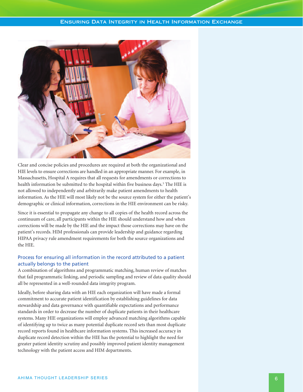

Clear and concise policies and procedures are required at both the organizational and HIE levels to ensure corrections are handled in an appropriate manner. For example, in Massachusetts, Hospital A requires that all requests for amendments or corrections to health information be submitted to the hospital within five business days. <sup>3</sup> The HIE is not allowed to independently and arbitrarily make patient amendments to health information. As the HIE will most likely not be the source system for either the patient's demographic or clinical information, corrections in the HIE environment can be risky.

Since it is essential to propagate any change to all copies of the health record across the continuum of care, all participants within the HIE should understand how and when corrections will be made by the HIE and the impact those corrections may have on the patient's records. HIM professionals can provide leadership and guidance regarding HIPAA privacy rule amendment requirements for both the source organizations and the HIE.

# Process for ensuring all information in the record attributed to a patient actually belongs to the patient

A combination of algorithms and programmatic matching, human review of matches that fail programmatic linking, and periodic sampling and review of data quality should all be represented in a well-rounded data integrity program.

Ideally, before sharing data with an HIE each organization will have made a formal commitment to accurate patient identification by establishing guidelines for data stewardship and data governance with quantifiable expectations and performance standards in order to decrease the number of duplicate patients in their healthcare systems. Many HIE organizations will employ advanced matching algorithms capable of identifying up to twice as many potential duplicate record sets than most duplicate record reports found in healthcare information systems. This increased accuracy in duplicate record detection within the HIE has the potential to highlight the need for greater patient identity scrutiny and possibly improved patient identity management technology with the patient access and HIM departments.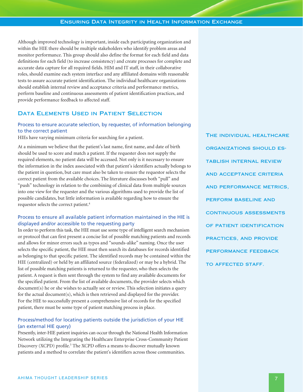Although improved technology is important, inside each participating organization and within the HIE there should be multiple stakeholders who identify problem areas and monitor performance. This group should also define the format for each field and data definitions for each field (to increase consistency) and create processes for complete and accurate data capture for all required fields. HIM and IT staff, in their collaborative roles, should examine each system interface and any affiliated domains with reasonable tests to assure accurate patient identification. The individual healthcare organizations should establish internal review and acceptance criteria and performance metrics, perform baseline and continuous assessments of patient identification practices, and provide performance feedback to affected staff.

#### **Data Elements Used in Patient Selection**

# Process to ensure accurate selection, by requester, of information belonging to the correct patient

HIEs have varying minimum criteria for searching for a patient.

At a minimum we believe that the patient's last name, first name, and date of birth should be used to score and match a patient. If the requester does not supply the required elements, no patient data will be accessed. Not only is it necessary to ensure the information in the index associated with that patient's identifiers actually belongs to the patient in question, but care must also be taken to ensure the requestor selects the correct patient from the available choices. The literature discusses both "pull" and "push" technology in relation to the combining of clinical data from multiple sources into one view for the requester and the various algorithms used to provide the list of possible candidates, but little information is available regarding how to ensure the requestor selects the correct patient. 4

#### Process to ensure all available patient information maintained in the HIE is displayed and/or accessible to the requesting party

In order to perform this task, the HIE must use some type of intelligent search mechanism or protocol that can first present a concise list of possible matching patients and records and allows for minor errors such as typos and "sounds-alike" naming. Once the user selects the specific patient, the HIE must then search its databases for records identified as belonging to that specific patient. The identified records may be contained within the HIE (centralized) or held by an affiliated source (federalized) or may be a hybrid. The list of possible matching patients is returned to the requester, who then selects the patient. A request is then sent through the system to find any available documents for the specified patient. From the list of available documents, the provider selects which document(s) he or she wishes to actually see or review. This selection initiates a query for the actual document(s), which is then retrieved and displayed for the provider. For the HIE to successfully present a comprehensive list of records for the specified patient, there must be some type of patient matching process in place.

# Process/method for locating patients outside the jurisdiction of your HIE (an external HIE query)

Presently, inter-HIE patient inquiries can occur through the National Health Information Network utilizing the Integrating the Healthcare Enterprise Cross-Community Patient Discovery (XCPD) profile. <sup>5</sup> The XCPD offers a means to discover mutually known patients and a method to correlate the patient's identifiers across those communities.

**The individual healthcare organizations should establish internal review and acceptance criteria and performance metrics, perform baseline and continuous assessments of patient identification practices, and provide performance feedback to affected staff.**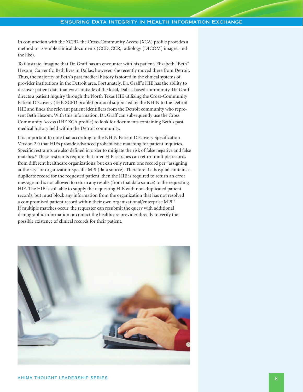In conjunction with the XCPD, the Cross-Community Access (XCA) profile provides a method to assemble clinical documents (CCD, CCR, radiology [DICOM] images, and the like).

To illustrate, imagine that Dr. Graff has an encounter with his patient, Elizabeth "Beth" Hexom. Currently, Beth lives in Dallas; however, she recently moved there from Detroit. Thus, the majority of Beth's past medical history is stored in the clinical systems of provider institutions in the Detroit area. Fortunately, Dr. Graff's HIE has the ability to discover patient data that exists outside of the local, Dallas-based community. Dr. Graff directs a patient inquiry through the North Texas HIE utilizing the Cross-Community Patient Discovery (IHE XCPD profile) protocol supported by the NHIN to the Detroit HIE and finds the relevant patient identifiers from the Detroit community who represent Beth Hexom. With this information, Dr. Graff can subsequently use the Cross Community Access (IHE XCA profile) to look for documents containing Beth's past medical history held within the Detroit community.

It is important to note that according to the NHIN Patient Discovery Specification Version 2.0 that HIEs provide advanced probabilistic matching for patient inquiries. Specific restraints are also defined in order to mitigate the risk of false negative and false matches. <sup>6</sup> These restraints require that inter-HIE searches can return multiple records from different healthcare organizations, but can only return one record per "assigning authority" or organization-specific MPI (data source). Therefore if a hospital contains a duplicate record for the requested patient, then the HIE is required to return an error message and is not allowed to return any results (from that data source) to the requesting HIE. The HIE is still able to supply the requesting HIE with non-duplicated patient records, but must block any information from the organization that has not resolved a compromised patient record within their own organizational/enterprise MPI.7 If multiple matches occur, the requester can resubmit the query with additional demographic information or contact the healthcare provider directly to verify the possible existence of clinical records for their patient.

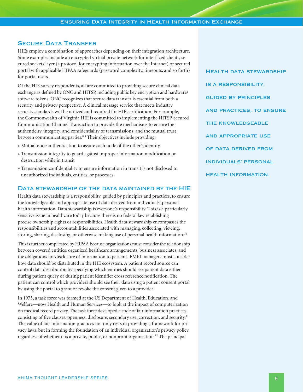# **Secure Data Transfer**

HIEs employ a combination of approaches depending on their integration architecture. Some examples include an encrypted virtual private network for interfaced clients, secured sockets layer (a protocol for encrypting information over the Internet) or secured portal with applicable HIPAA safeguards (password complexity, timeouts, and so forth) for portal users.

Of the HIE survey respondents, all are committed to providing secure clinical data exchange as defined by ONC and HITSP, including public key encryption and hardware/ software tokens. ONC recognizes that secure data transfer is essential from both a security and privacy perspective. A clinical message service that meets industry security standards will be utilized and required for HIE certification. For example, the Commonwealth of Virginia HIE is committed to implementing the HITSP Secured Communication Channel Transaction to provide the mechanisms to ensure the authenticity, integrity, and confidentiality of transmissions, and the mutual trust between communicating parties. 8,9 Their objectives include providing:

- » Mutual node authentication to assure each node of the other's identity
- » Transmission integrity to guard against improper information modification or destruction while in transit
- » Transmission confidentiality to ensure information in transit is not disclosed to unauthorized individuals, entities, or processes

#### **Data stewardship of the data maintained by the HIE**

Health data stewardship is a responsibility, guided by principles and practices, to ensure the knowledgeable and appropriate use of data derived from individuals' personal health information. Data stewardship is everyone's responsibility. This is a particularly sensitive issue in healthcare today because there is no federal law establishing precise ownership rights or responsibilities. Health data stewardship encompasses the responsibilities and accountabilities associated with managing, collecting, viewing, storing, sharing, disclosing, or otherwise making use of personal health information. 10

This is further complicated by HIPAA because organizations must consider the relationship between covered entities, organized healthcare arrangements, business associates, and the obligations for disclosure of information to patients. EMPI managers must consider how data should be distributed in the HIE ecosystem. A patient record source can control data distribution by specifying which entities should see patient data either during patient query or during patient identifier cross reference notification. The patient can control which providers should see their data using a patient consent portal by using the portal to grant or revoke the consent given to a provider.

In 1973, a task force was formed at the US Department of Health, Education, and Welfare—now Health and Human Services—to look at the impact of computerization on medical record privacy. The task force developed a code of fair information practices, consisting of five clauses: openness, disclosure, secondary use, correction, and security.<sup>11</sup> The value of fair information practices not only rests in providing a framework for privacy laws, but in forming the foundation of an individual organization's privacy policy, regardless of whether it is a private, public, or nonprofit organization. <sup>12</sup> The principal

**Health data stewardship is a responsibility, guided by principles and practices, to ensure the knowledgeable and appropriate use of data derived from individuals' personal health information.**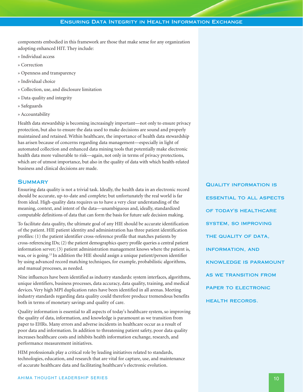components embodied in this framework are those that make sense for any organization adopting enhanced HIT. They include:

- » Individual access
- » Correction
- » Openness and transparency
- » Individual choice
- » Collection, use, and disclosure limitation
- » Data quality and integrity
- » Safeguards
- » Accountability

Health data stewardship is becoming increasingly important—not only to ensure privacy protection, but also to ensure the data used to make decisions are sound and properly maintained and retained. Within healthcare, the importance of health data stewardship has arisen because of concerns regarding data management—especially in light of automated collection and enhanced data mining tools that potentially make electronic health data more vulnerable to risk—again, not only in terms of privacy protections, which are of utmost importance, but also in the quality of data with which health-related business and clinical decisions are made.

# **Summary**

Ensuring data quality is not a trivial task. Ideally, the health data in an electronic record should be accurate, up-to-date and complete; but unfortunately the real world is far from ideal. High-quality data requires us to have a very clear understanding of the meaning, context, and intent of the data—unambiguous and, ideally, standardized computable definitions of data that can form the basis for future safe decision making.

To facilitate data quality, the ultimate goal of any HIE should be accurate identification of the patient. HIE patient identity and administration has three patient identification profiles: (1) the patient identifier cross-reference profile that matches patients by cross-referencing IDs; (2) the patient demographics query profile queries a central patient information server; (3) patient administration management knows where the patient is, was, or is going. <sup>13</sup> In addition the HIE should assign a unique patient/person identifier by using advanced record matching techniques, for example, probabilistic algorithms, and manual processes, as needed.

Nine influences have been identified as industry standards: system interfaces, algorithms, unique identifiers, business processes, data accuracy, data quality, training, and medical devices.Very high MPI duplication rates have been identified in all arenas. Meeting industry standards regarding data quality could therefore produce tremendous benefits both in terms of monetary savings and quality of care.

Quality information is essential to all aspects of today's healthcare system, so improving the quality of data, information, and knowledge is paramount as we transition from paper to EHRs. Many errors and adverse incidents in healthcare occur as a result of poor data and information. In addition to threatening patient safety, poor data quality increases healthcare costs and inhibits health information exchange, research, and performance measurement initiatives.

HIM professionals play a critical role by leading initiatives related to standards, technologies, education, and research that are vital for capture, use, and maintenance of accurate healthcare data and facilitating healthcare's electronic evolution.

**Quality information is essential to all aspects of today's healthcare system, so improving the quality of data, information, and knowledge is paramount as we transition from paper to electronic health records.**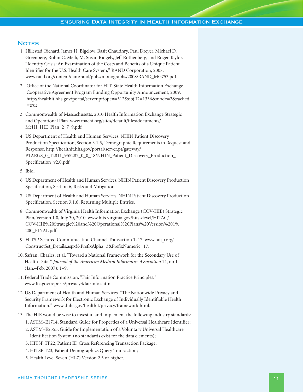#### **NOTES**

- 1. Hillestad, Richard, James H. Bigelow, Basit Chaudhry, Paul Dreyer, Michael D. Greenberg, Robin C. Meili, M. Susan Ridgely, Jeff Rothenberg, and Roger Taylor. "Identity Crisis: An Examination of the Costs and Benefits of a Unique Patient Identifier for the U.S. Health Care System," RAND Corporation, 2008. www.rand.org/content/dam/rand/pubs/monographs/2008/RAND\_MG753.pdf.
- 2. Office of the National Coordinator for HIT. State Health Information Exchange Cooperative Agreement Program Funding Opportunity Announcement, 2009. http://healthit.hhs.gov/portal/server.pt?open=512&objID=1336&mode=2&cached =true
- 3. Commonwealth of Massachusetts. 2010 Health Information Exchange Strategic and Operational Plan. www.maehi.org/sites/default/files/documents/ MeHI\_HIE\_Plan\_2\_7\_9.pdf
- 4. US Department of Health and Human Services. NHIN Patient Discovery Production Specification, Section 3.1.5, Demographic Requirements in Request and Response. http://healthit.hhs.gov/portal/server.pt/gateway/ PTARGS\_0\_12811\_955287\_0\_0\_18/NHIN\_Patient\_Discovery\_Production\_ Specification\_v2.0.pdf
- 5. Ibid.
- 6. US Department of Health and Human Services. NHIN Patient Discovery Production Specification, Section 6, Risks and Mitigation.
- 7. US Department of Health and Human Services. NHIN Patient Discovery Production Specification, Section 3.1.6, Returning Multiple Entries.
- 8. Commonwealth of Virginia Health Information Exchange (COV-HIE) Strategic Plan,Version 1.0, July 30, 2010. www.hits.virginia.gov/hits-devel/HITAC/ COV-HIE%20Strategic%20and%20Operational%20Plans%20Version%201% 200\_FINAL.pdf.
- 9. HITSP Secured Communication Channel Transaction T-17. www.hitsp.org/ ConstructSet\_Details.aspx?&PrefixAlpha=3&PrefixNumeric=17.
- 10. Safran, Charles, et al. "Toward a National Framework for the Secondary Use of Health Data." *Journal of the American Medical Informatics Association* 14, no.1 (Jan.–Feb. 2007): 1–9.
- 11. Federal Trade Commission. "Fair Information Practice Principles." www.ftc.gov/reports/privacy3/fairinfo.shtm
- 12. US Department of Health and Human Services. "The Nationwide Privacy and Security Framework for Electronic Exchange of Individually Identifiable Health Information." www.dhhs.gov/healthit/privacy/framework.html.
- 13. The HIE would be wise to invest in and implement the following industry standards: 1. ASTM–E1714, Standard Guide for Properties of a Universal Healthcare Identifier;
	- 2. ASTM–E2553, Guide for Implementation of a Voluntary Universal Healthcare Identification System (no standards exist for the data elements);
	- 3. HITSP TP22, Patient ID Cross Referencing Transaction Package;
	- 4. HITSP T23, Patient Demographics Query Transaction;
	- 5. Health Level Seven (HL7) Version 2.5 or higher.